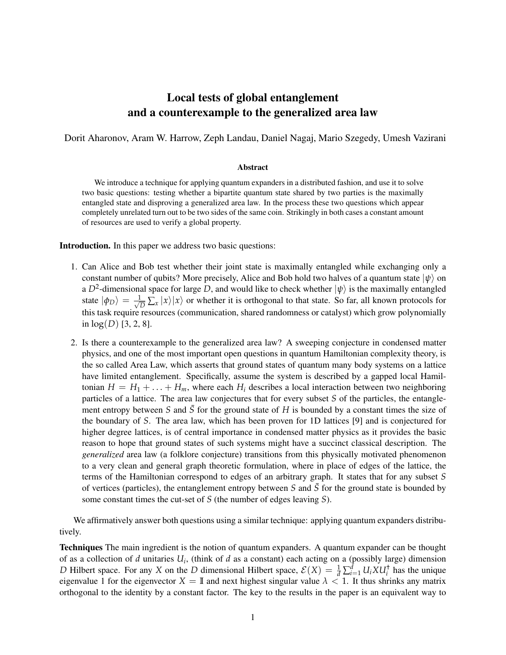## Local tests of global entanglement and a counterexample to the generalized area law

Dorit Aharonov, Aram W. Harrow, Zeph Landau, Daniel Nagaj, Mario Szegedy, Umesh Vazirani

## Abstract

We introduce a technique for applying quantum expanders in a distributed fashion, and use it to solve two basic questions: testing whether a bipartite quantum state shared by two parties is the maximally entangled state and disproving a generalized area law. In the process these two questions which appear completely unrelated turn out to be two sides of the same coin. Strikingly in both cases a constant amount of resources are used to verify a global property.

Introduction. In this paper we address two basic questions:

- 1. Can Alice and Bob test whether their joint state is maximally entangled while exchanging only a constant number of qubits? More precisely, Alice and Bob hold two halves of a quantum state  $|\psi\rangle$  on a  $D^2$ -dimensional space for large D, and would like to check whether  $|\psi\rangle$  is the maximally entangled state  $|\phi_D\rangle = \frac{1}{\sqrt{2}}$  $\frac{1}{\sqrt{D}}\sum_{x}|x\rangle|x\rangle$  or whether it is orthogonal to that state. So far, all known protocols for this task require resources (communication, shared randomness or catalyst) which grow polynomially in  $log(D)$  [3, 2, 8].
- 2. Is there a counterexample to the generalized area law? A sweeping conjecture in condensed matter physics, and one of the most important open questions in quantum Hamiltonian complexity theory, is the so called Area Law, which asserts that ground states of quantum many body systems on a lattice have limited entanglement. Specifically, assume the system is described by a gapped local Hamiltonian  $H = H_1 + \ldots + H_m$ , where each  $H_i$  describes a local interaction between two neighboring particles of a lattice. The area law conjectures that for every subset *S* of the particles, the entanglement entropy between *S* and  $\overline{S}$  for the ground state of *H* is bounded by a constant times the size of the boundary of *S*. The area law, which has been proven for 1D lattices [9] and is conjectured for higher degree lattices, is of central importance in condensed matter physics as it provides the basic reason to hope that ground states of such systems might have a succinct classical description. The *generalized* area law (a folklore conjecture) transitions from this physically motivated phenomenon to a very clean and general graph theoretic formulation, where in place of edges of the lattice, the terms of the Hamiltonian correspond to edges of an arbitrary graph. It states that for any subset *S* of vertices (particles), the entanglement entropy between *S* and  $\overline{S}$  for the ground state is bounded by some constant times the cut-set of *S* (the number of edges leaving *S*).

We affirmatively answer both questions using a similar technique: applying quantum expanders distributively.

Techniques The main ingredient is the notion of quantum expanders. A quantum expander can be thought of as a collection of *d* unitaries *U<sup>i</sup>* , (think of *d* as a constant) each acting on a (possibly large) dimension *D* Hilbert space. For any *X* on the *D* dimensional Hilbert space,  $\mathcal{E}(X) = \frac{1}{d} \sum_{i=1}^{d} U_i X U_i^{\dagger}$  has the unique eigenvalue 1 for the eigenvector  $X = \mathbb{I}$  and next highest singular value  $\lambda < 1$ . It thus shrinks any matrix orthogonal to the identity by a constant factor. The key to the results in the paper is an equivalent way to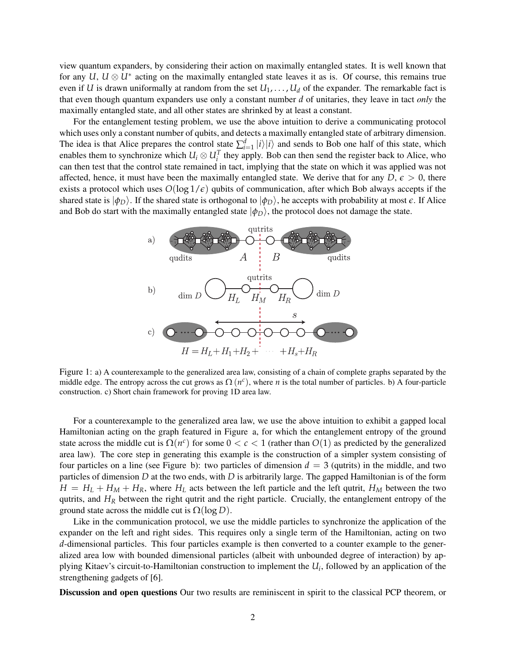view quantum expanders, by considering their action on maximally entangled states. It is well known that for any  $U, U \otimes U^*$  acting on the maximally entangled state leaves it as is. Of course, this remains true even if *U* is drawn uniformally at random from the set  $U_1, \ldots, U_d$  of the expander. The remarkable fact is that even though quantum expanders use only a constant number *d* of unitaries, they leave in tact *only* the maximally entangled state, and all other states are shrinked by at least a constant.

For the entanglement testing problem, we use the above intuition to derive a communicating protocol which uses only a constant number of qubits, and detects a maximally entangled state of arbitrary dimension. The idea is that Alice prepares the control state  $\sum_{i=1}^{d} |i\rangle|i\rangle$  and sends to Bob one half of this state, which enables them to synchronize which  $U_i \otimes U_i^T$  they apply. Bob can then send the register back to Alice, who can then test that the control state remained in tact, implying that the state on which it was applied was not affected, hence, it must have been the maximally entangled state. We derive that for any  $D, \epsilon > 0$ , there exists a protocol which uses  $O(\log 1/\epsilon)$  qubits of communication, after which Bob always accepts if the shared state is  $|\phi_D\rangle$ . If the shared state is orthogonal to  $|\phi_D\rangle$ , he accepts with probability at most  $\epsilon$ . If Alice and Bob do start with the maximally entangled state  $|\phi_D\rangle$ , the protocol does not damage the state.



Figure 1: a) A counterexample to the generalized area law, consisting of a chain of complete graphs separated by the middle edge. The entropy across the cut grows as  $\Omega(n^c)$ , where *n* is the total number of particles. b) A four-particle construction. c) Short chain framework for proving 1D area law.

For a counterexample to the generalized area law, we use the above intuition to exhibit a gapped local Hamiltonian acting on the graph featured in Figure a, for which the entanglement entropy of the ground state across the middle cut is  $\Omega(n^c)$  for some  $0 < c < 1$  (rather than  $O(1)$  as predicted by the generalized area law). The core step in generating this example is the construction of a simpler system consisting of four particles on a line (see Figure b): two particles of dimension  $d = 3$  (qutrits) in the middle, and two particles of dimension *D* at the two ends, with *D* is arbitrarily large. The gapped Hamiltonian is of the form  $H = H_L + H_M + H_R$ , where  $H_L$  acts between the left particle and the left qutrit,  $H_M$  between the two qutrits, and  $H_R$  between the right qutrit and the right particle. Crucially, the entanglement entropy of the ground state across the middle cut is  $\Omega(\log D)$ .

Like in the communication protocol, we use the middle particles to synchronize the application of the expander on the left and right sides. This requires only a single term of the Hamiltonian, acting on two *d*-dimensional particles. This four particles example is then converted to a counter example to the generalized area low with bounded dimensional particles (albeit with unbounded degree of interaction) by applying Kitaev's circuit-to-Hamiltonian construction to implement the *U<sup>i</sup>* , followed by an application of the strengthening gadgets of [6].

Discussion and open questions Our two results are reminiscent in spirit to the classical PCP theorem, or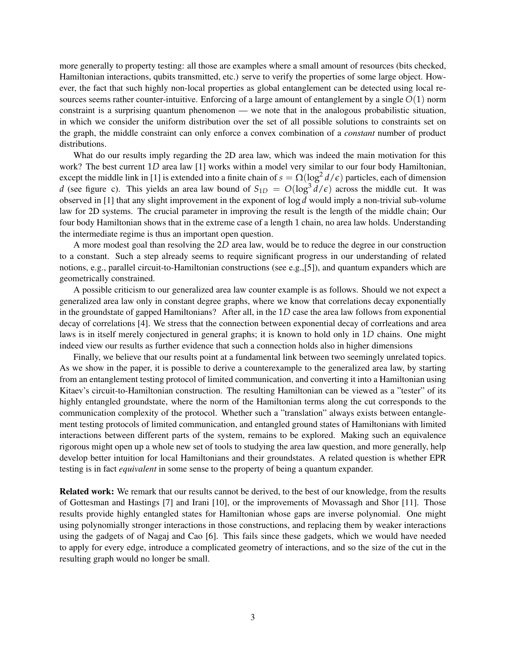more generally to property testing: all those are examples where a small amount of resources (bits checked, Hamiltonian interactions, qubits transmitted, etc.) serve to verify the properties of some large object. However, the fact that such highly non-local properties as global entanglement can be detected using local resources seems rather counter-intuitive. Enforcing of a large amount of entanglement by a single *O*(1) norm constraint is a surprising quantum phenomenon — we note that in the analogous probabilistic situation, in which we consider the uniform distribution over the set of all possible solutions to constraints set on the graph, the middle constraint can only enforce a convex combination of a *constant* number of product distributions.

What do our results imply regarding the 2D area law, which was indeed the main motivation for this work? The best current 1*D* area law [1] works within a model very similar to our four body Hamiltonian, except the middle link in [1] is extended into a finite chain of  $s = \Omega(\log^2 d/\epsilon)$  particles, each of dimension *d* (see figure c). This yields an area law bound of  $S_{1D} = O(\log^3 d/\epsilon)$  across the middle cut. It was observed in [1] that any slight improvement in the exponent of log *d* would imply a non-trivial sub-volume law for 2D systems. The crucial parameter in improving the result is the length of the middle chain; Our four body Hamiltonian shows that in the extreme case of a length 1 chain, no area law holds. Understanding the intermediate regime is thus an important open question.

A more modest goal than resolving the 2*D* area law, would be to reduce the degree in our construction to a constant. Such a step already seems to require significant progress in our understanding of related notions, e.g., parallel circuit-to-Hamiltonian constructions (see e.g.,[5]), and quantum expanders which are geometrically constrained.

A possible criticism to our generalized area law counter example is as follows. Should we not expect a generalized area law only in constant degree graphs, where we know that correlations decay exponentially in the groundstate of gapped Hamiltonians? After all, in the 1*D* case the area law follows from exponential decay of correlations [4]. We stress that the connection between exponential decay of corrleations and area laws is in itself merely conjectured in general graphs; it is known to hold only in 1*D* chains. One might indeed view our results as further evidence that such a connection holds also in higher dimensions

Finally, we believe that our results point at a fundamental link between two seemingly unrelated topics. As we show in the paper, it is possible to derive a counterexample to the generalized area law, by starting from an entanglement testing protocol of limited communication, and converting it into a Hamiltonian using Kitaev's circuit-to-Hamiltonian construction. The resulting Hamiltonian can be viewed as a "tester" of its highly entangled groundstate, where the norm of the Hamiltonian terms along the cut corresponds to the communication complexity of the protocol. Whether such a "translation" always exists between entanglement testing protocols of limited communication, and entangled ground states of Hamiltonians with limited interactions between different parts of the system, remains to be explored. Making such an equivalence rigorous might open up a whole new set of tools to studying the area law question, and more generally, help develop better intuition for local Hamiltonians and their groundstates. A related question is whether EPR testing is in fact *equivalent* in some sense to the property of being a quantum expander.

Related work: We remark that our results cannot be derived, to the best of our knowledge, from the results of Gottesman and Hastings [7] and Irani [10], or the improvements of Movassagh and Shor [11]. Those results provide highly entangled states for Hamiltonian whose gaps are inverse polynomial. One might using polynomially stronger interactions in those constructions, and replacing them by weaker interactions using the gadgets of of Nagaj and Cao [6]. This fails since these gadgets, which we would have needed to apply for every edge, introduce a complicated geometry of interactions, and so the size of the cut in the resulting graph would no longer be small.